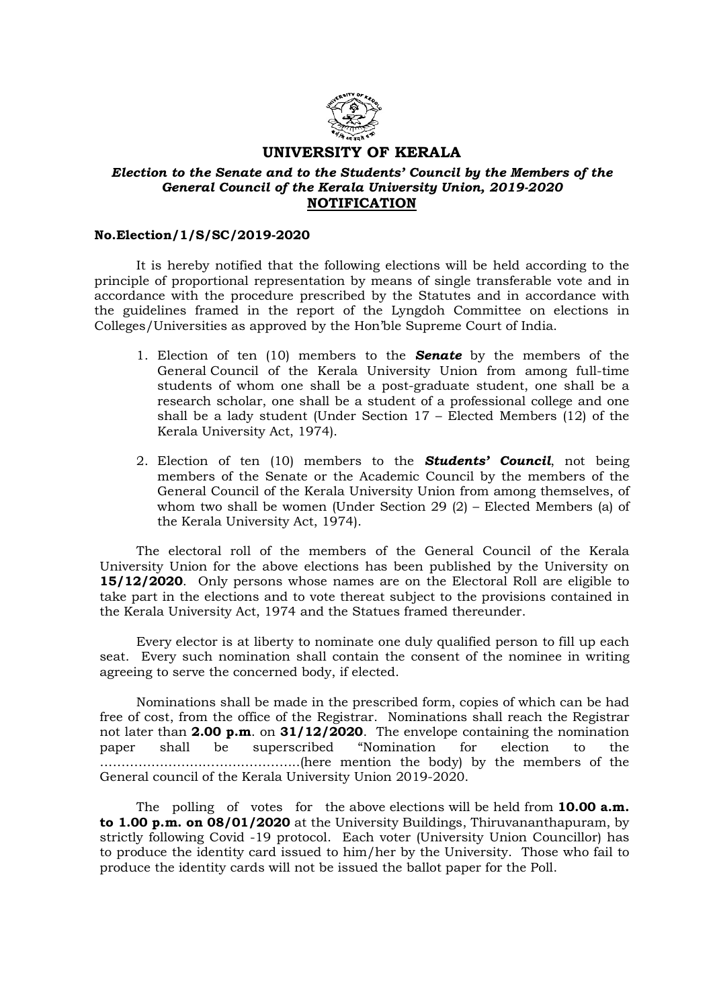

## UNIVERSITY OF KERALA

## Election to the Senate and to the Students' Council by the Members of the General Council of the Kerala University Union, 2019-2020 **NOTIFICATION**

## No.Election/1/S/SC/2019-2020

 It is hereby notified that the following elections will be held according to the principle of proportional representation by means of single transferable vote and in accordance with the procedure prescribed by the Statutes and in accordance with the guidelines framed in the report of the Lyngdoh Committee on elections in Colleges/Universities as approved by the Hon'ble Supreme Court of India.

- 1. Election of ten  $(10)$  members to the **Senate** by the members of the General Council of the Kerala University Union from among full-time students of whom one shall be a post-graduate student, one shall be a research scholar, one shall be a student of a professional college and one shall be a lady student (Under Section  $17$  – Elected Members (12) of the Kerala University Act, 1974).
- 2. Election of ten (10) members to the **Students' Council**, not being members of the Senate or the Academic Council by the members of the General Council of the Kerala University Union from among themselves, of whom two shall be women (Under Section 29 (2) – Elected Members (a) of the Kerala University Act, 1974).

 The electoral roll of the members of the General Council of the Kerala University Union for the above elections has been published by the University on 15/12/2020. Only persons whose names are on the Electoral Roll are eligible to take part in the elections and to vote thereat subject to the provisions contained in the Kerala University Act, 1974 and the Statues framed thereunder.

 Every elector is at liberty to nominate one duly qualified person to fill up each seat. Every such nomination shall contain the consent of the nominee in writing agreeing to serve the concerned body, if elected.

 Nominations shall be made in the prescribed form, copies of which can be had free of cost, from the office of the Registrar. Nominations shall reach the Registrar not later than 2.00 p.m. on  $31/12/2020$ . The envelope containing the nomination paper shall be superscribed "Nomination for election to the ………………………………………..(here mention the body) by the members of the General council of the Kerala University Union 2019-2020.

The polling of votes for the above elections will be held from  $10.00 a.m.$ to 1.00 p.m. on 08/01/2020 at the University Buildings, Thiruvananthapuram, by strictly following Covid -19 protocol. Each voter (University Union Councillor) has to produce the identity card issued to him/her by the University. Those who fail to produce the identity cards will not be issued the ballot paper for the Poll.